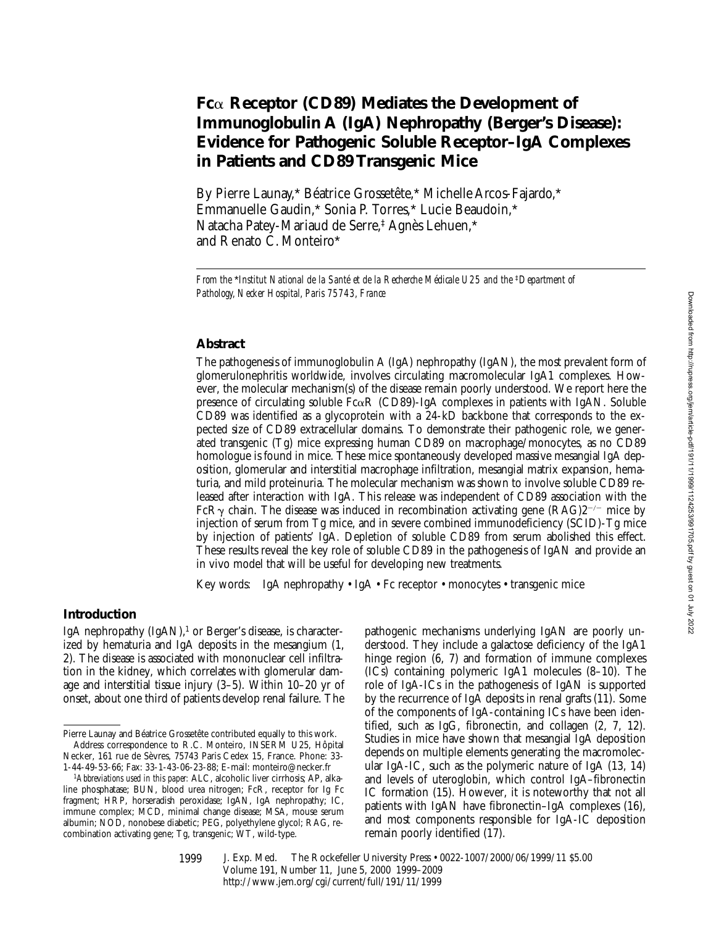# **Fc**a **Receptor (CD89) Mediates the Development of Immunoglobulin A (IgA) Nephropathy (Berger's Disease): Evidence for Pathogenic Soluble Receptor–IgA Complexes in Patients and CD89 Transgenic Mice**

By Pierre Launay,\* Béatrice Grossetête,\* Michelle Arcos-Fajardo,\* Emmanuelle Gaudin,\* Sonia P. Torres,\* Lucie Beaudoin,\* Natacha Patey-Mariaud de Serre,‡ Agnès Lehuen,\* and Renato C. Monteiro\*

*From the* \**Institut National de la Santé et de la Recherche Médicale U25 and the* ‡*Department of Pathology, Necker Hospital, Paris 75743, France*

## **Abstract**

The pathogenesis of immunoglobulin A (IgA) nephropathy (IgAN), the most prevalent form of glomerulonephritis worldwide, involves circulating macromolecular IgA1 complexes. However, the molecular mechanism(s) of the disease remain poorly understood. We report here the presence of circulating soluble  $Fc\alpha R$  (CD89)-IgA complexes in patients with IgAN. Soluble CD89 was identified as a glycoprotein with a 24-kD backbone that corresponds to the expected size of CD89 extracellular domains. To demonstrate their pathogenic role, we generated transgenic (Tg) mice expressing human CD89 on macrophage/monocytes, as no CD89 homologue is found in mice. These mice spontaneously developed massive mesangial IgA deposition, glomerular and interstitial macrophage infiltration, mesangial matrix expansion, hematuria, and mild proteinuria. The molecular mechanism was shown to involve soluble CD89 released after interaction with IgA. This release was independent of CD89 association with the FcR $\gamma$  chain. The disease was induced in recombination activating gene (RAG)2<sup>-/-</sup> mice by injection of serum from Tg mice, and in severe combined immunodeficiency (SCID)-Tg mice by injection of patients' IgA. Depletion of soluble CD89 from serum abolished this effect. These results reveal the key role of soluble CD89 in the pathogenesis of IgAN and provide an in vivo model that will be useful for developing new treatments.

Key words: IgA nephropathy • IgA • Fc receptor • monocytes • transgenic mice

## **Introduction**

IgA nephropathy  $(IgAN)$ ,<sup>1</sup> or Berger's disease, is characterized by hematuria and IgA deposits in the mesangium (1, 2). The disease is associated with mononuclear cell infiltration in the kidney, which correlates with glomerular damage and interstitial tissue injury (3–5). Within 10–20 yr of onset, about one third of patients develop renal failure. The

Necker, 161 rue de Sèvres, 75743 Paris Cedex 15, France. Phone: 33- 1-44-49-53-66; Fax: 33-1-43-06-23-88; E-mail: monteiro@necker.fr

pathogenic mechanisms underlying IgAN are poorly understood. They include a galactose deficiency of the IgA1 hinge region (6, 7) and formation of immune complexes (ICs) containing polymeric IgA1 molecules (8–10). The role of IgA-ICs in the pathogenesis of IgAN is supported by the recurrence of IgA deposits in renal grafts (11). Some of the components of IgA-containing ICs have been identified, such as IgG, fibronectin, and collagen (2, 7, 12). Studies in mice have shown that mesangial IgA deposition depends on multiple elements generating the macromolecular IgA-IC, such as the polymeric nature of IgA (13, 14) and levels of uteroglobin, which control IgA–fibronectin IC formation (15). However, it is noteworthy that not all patients with IgAN have fibronectin–IgA complexes (16), and most components responsible for IgA-IC deposition remain poorly identified (17).

Pierre Launay and Béatrice Grossetête contributed equally to this work. Address correspondence to R.C. Monteiro, INSERM U25, Hôpital

<sup>1</sup>*Abbreviations used in this paper:* ALC, alcoholic liver cirrhosis; AP, alkaline phosphatase; BUN, blood urea nitrogen; FcR, receptor for Ig Fc fragment; HRP, horseradish peroxidase; IgAN, IgA nephropathy; IC, immune complex; MCD, minimal change disease; MSA, mouse serum albumin; NOD, nonobese diabetic; PEG, polyethylene glycol; RAG, recombination activating gene; Tg, transgenic; WT, wild-type.

<sup>1999</sup>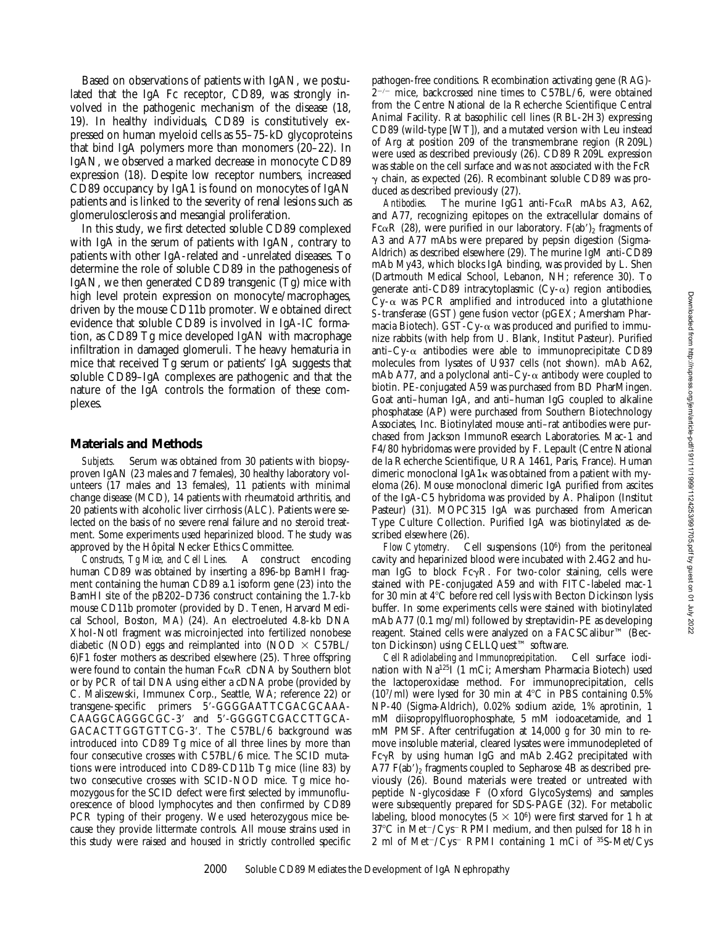Based on observations of patients with IgAN, we postulated that the IgA Fc receptor, CD89, was strongly involved in the pathogenic mechanism of the disease (18, 19). In healthy individuals, CD89 is constitutively expressed on human myeloid cells as 55–75-kD glycoproteins that bind IgA polymers more than monomers (20–22). In IgAN, we observed a marked decrease in monocyte CD89 expression (18). Despite low receptor numbers, increased CD89 occupancy by IgA1 is found on monocytes of IgAN patients and is linked to the severity of renal lesions such as glomerulosclerosis and mesangial proliferation.

In this study, we first detected soluble CD89 complexed with IgA in the serum of patients with IgAN, contrary to patients with other IgA-related and -unrelated diseases. To determine the role of soluble CD89 in the pathogenesis of IgAN, we then generated CD89 transgenic (Tg) mice with high level protein expression on monocyte/macrophages, driven by the mouse CD11b promoter. We obtained direct evidence that soluble CD89 is involved in IgA-IC formation, as CD89 Tg mice developed IgAN with macrophage infiltration in damaged glomeruli. The heavy hematuria in mice that received Tg serum or patients' IgA suggests that soluble CD89–IgA complexes are pathogenic and that the nature of the IgA controls the formation of these complexes.

### **Materials and Methods**

*Subjects.* Serum was obtained from 30 patients with biopsyproven IgAN (23 males and 7 females), 30 healthy laboratory volunteers (17 males and 13 females), 11 patients with minimal change disease (MCD), 14 patients with rheumatoid arthritis, and 20 patients with alcoholic liver cirrhosis (ALC). Patients were selected on the basis of no severe renal failure and no steroid treatment. Some experiments used heparinized blood. The study was approved by the Hôpital Necker Ethics Committee.

*Constructs, Tg Mice, and Cell Lines.* A construct encoding human CD89 was obtained by inserting a 896-bp BamHI fragment containing the human CD89 a.1 isoform gene (23) into the BamHI site of the pB202–D736 construct containing the 1.7-kb mouse CD11b promoter (provided by D. Tenen, Harvard Medical School, Boston, MA) (24). An electroeluted 4.8-kb DNA XhoI-NotI fragment was microinjected into fertilized nonobese diabetic (NOD) eggs and reimplanted into (NOD  $\times$  C57BL/ 6)F1 foster mothers as described elsewhere (25). Three offspring were found to contain the human  $Fc\alpha R$  cDNA by Southern blot or by PCR of tail DNA using either a cDNA probe (provided by C. Maliszewski, Immunex Corp., Seattle, WA; reference 22) or transgene-specific primers 5'-GGGGAATTCGACGCAAA-CAAGGCAGGGCGC-3' and 5'-GGGGTCGACCTTGCA-GACACTTGGTGTTCG-3'. The C57BL/6 background was introduced into CD89 Tg mice of all three lines by more than four consecutive crosses with C57BL/6 mice. The SCID mutations were introduced into CD89-CD11b Tg mice (line 83) by two consecutive crosses with SCID-NOD mice. Tg mice homozygous for the SCID defect were first selected by immunofluorescence of blood lymphocytes and then confirmed by CD89 PCR typing of their progeny. We used heterozygous mice because they provide littermate controls. All mouse strains used in this study were raised and housed in strictly controlled specific

pathogen-free conditions. Recombination activating gene (RAG)-  $2^{-/-}$  mice, backcrossed nine times to C57BL/6, were obtained from the Centre National de la Recherche Scientifique Central Animal Facility. Rat basophilic cell lines (RBL-2H3) expressing CD89 (wild-type [WT]), and a mutated version with Leu instead of Arg at position 209 of the transmembrane region (R209L) were used as described previously (26). CD89 R209L expression was stable on the cell surface and was not associated with the FcR  $\gamma$  chain, as expected (26). Recombinant soluble CD89 was produced as described previously (27).

*Antibodies.* The murine IgG1 anti- $Fc\alpha R$  mAbs A3, A62, and A77, recognizing epitopes on the extracellular domains of Fc $\alpha$ R (28), were purified in our laboratory. F(ab'), fragments of A3 and A77 mAbs were prepared by pepsin digestion (Sigma-Aldrich) as described elsewhere (29). The murine IgM anti-CD89 mAb My43, which blocks IgA binding, was provided by L. Shen (Dartmouth Medical School, Lebanon, NH; reference 30). To generate anti-CD89 intracytoplasmic  $(Cy-\alpha)$  region antibodies,  $Cy-\alpha$  was PCR amplified and introduced into a glutathione *S*-transferase (GST) gene fusion vector (pGEX; Amersham Pharmacia Biotech). GST-Cy- $\alpha$  was produced and purified to immunize rabbits (with help from U. Blank, Institut Pasteur). Purified anti–Cy- $\alpha$  antibodies were able to immunoprecipitate CD89 molecules from lysates of U937 cells (not shown). mAb A62, mAb A77, and a polyclonal anti-Cy- $\alpha$  antibody were coupled to biotin. PE-conjugated A59 was purchased from BD PharMingen. Goat anti–human IgA, and anti–human IgG coupled to alkaline phosphatase (AP) were purchased from Southern Biotechnology Associates, Inc. Biotinylated mouse anti–rat antibodies were purchased from Jackson ImmunoResearch Laboratories. Mac-1 and F4/80 hybridomas were provided by F. Lepault (Centre National de la Recherche Scientifique, URA 1461, Paris, France). Human dimeric monoclonal IgA1k was obtained from a patient with myeloma (26). Mouse monoclonal dimeric IgA purified from ascites of the IgA-C5 hybridoma was provided by A. Phalipon (Institut Pasteur) (31). MOPC315 IgA was purchased from American Type Culture Collection. Purified IgA was biotinylated as described elsewhere (26).<br>Flow Cytometry.

Cell suspensions (10<sup>6</sup>) from the peritoneal cavity and heparinized blood were incubated with 2.4G2 and human IgG to block  $Fc\gamma R$ . For two-color staining, cells were stained with PE-conjugated A59 and with FITC-labeled mac-1 for 30 min at  $4^{\circ}$ C before red cell lysis with Becton Dickinson lysis buffer. In some experiments cells were stained with biotinylated mAb A77 (0.1 mg/ml) followed by streptavidin-PE as developing reagent. Stained cells were analyzed on a FACSCalibur™ (Becton Dickinson) using CELLQuest™ software.

*Cell Radiolabeling and Immunoprecipitation.* Cell surface iodination with Na125I (1 mCi; Amersham Pharmacia Biotech) used the lactoperoxidase method. For immunoprecipitation, cells  $(10^7/\text{ml})$  were lysed for 30 min at 4°C in PBS containing 0.5% NP-40 (Sigma-Aldrich), 0.02% sodium azide, 1% aprotinin, 1 mM diisopropylfluorophosphate, 5 mM iodoacetamide, and 1 mM PMSF. After centrifugation at 14,000 *g* for 30 min to remove insoluble material, cleared lysates were immunodepleted of  $Fc\gamma R$  by using human IgG and mAb 2.4G2 precipitated with A77  $F(ab')$ , fragments coupled to Sepharose 4B as described previously (26). Bound materials were treated or untreated with peptide *N*-glycosidase F (Oxford GlycoSystems) and samples were subsequently prepared for SDS-PAGE (32). For metabolic labeling, blood monocytes  $(5 \times 10^6)$  were first starved for 1 h at  $37^{\circ}$ C in Met<sup> $-$ </sup>/Cys<sup>-</sup> RPMI medium, and then pulsed for 18 h in 2 ml of Met $\sim$ /Cys $\sim$  RPMI containing 1 mCi of  $35S-Met/Cys$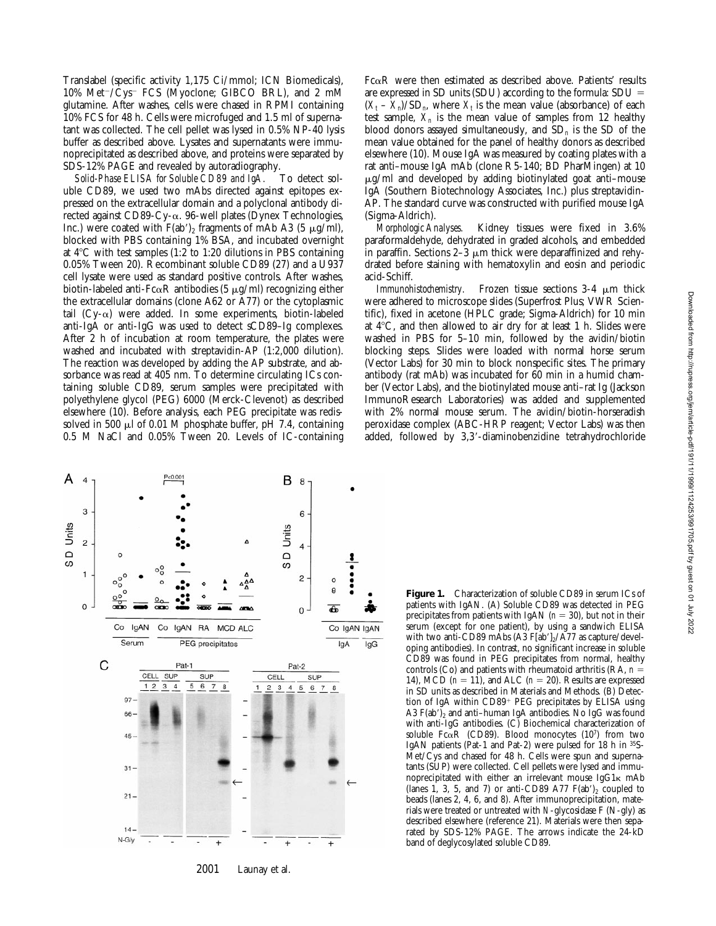Translabel (specific activity 1,175 Ci/mmol; ICN Biomedicals),  $10\%$  Met<sup> $-$ </sup>/Cys<sup>-</sup> FCS (Myoclone; GIBCO BRL), and 2 mM glutamine. After washes, cells were chased in RPMI containing 10% FCS for 48 h. Cells were microfuged and 1.5 ml of supernatant was collected. The cell pellet was lysed in 0.5% NP-40 lysis buffer as described above. Lysates and supernatants were immunoprecipitated as described above, and proteins were separated by SDS-12% PAGE and revealed by autoradiography.

*Solid-Phase ELISA for Soluble CD89 and IgA.* To detect soluble CD89, we used two mAbs directed against epitopes expressed on the extracellular domain and a polyclonal antibody directed against  $CD89-Cy-\alpha$ . 96-well plates (Dynex Technologies, Inc.) were coated with  $F(ab')_2$  fragments of mAb A3 (5  $\mu$ g/ml), blocked with PBS containing 1% BSA, and incubated overnight at  $4^{\circ}$ C with test samples (1:2 to 1:20 dilutions in PBS containing 0.05% Tween 20). Recombinant soluble CD89 (27) and a U937 cell lysate were used as standard positive controls. After washes, biotin-labeled anti-Fc $\alpha$ R antibodies (5  $\mu$ g/ml) recognizing either the extracellular domains (clone A62 or A77) or the cytoplasmic tail  $(Cy-\alpha)$  were added. In some experiments, biotin-labeled anti-IgA or anti-IgG was used to detect sCD89–Ig complexes. After 2 h of incubation at room temperature, the plates were washed and incubated with streptavidin-AP (1:2,000 dilution). The reaction was developed by adding the AP substrate, and absorbance was read at 405 nm. To determine circulating ICs containing soluble CD89, serum samples were precipitated with polyethylene glycol (PEG) 6000 (Merck-Clevenot) as described elsewhere (10). Before analysis, each PEG precipitate was redissolved in 500  $\mu$ l of 0.01 M phosphate buffer, pH 7.4, containing 0.5 M NaCl and 0.05% Tween 20. Levels of IC-containing

 $Fc\alpha R$  were then estimated as described above. Patients' results are expressed in SD units (SDU) according to the formula:  $SDU =$  $(X_t - X_n)/SD_n$ , where  $X_t$  is the mean value (absorbance) of each test sample,  $X_n$  is the mean value of samples from 12 healthy blood donors assayed simultaneously, and SD*n* is the SD of the mean value obtained for the panel of healthy donors as described elsewhere (10). Mouse IgA was measured by coating plates with a rat anti–mouse IgA mAb (clone R5-140; BD PharMingen) at 10  $\mu$ g/ml and developed by adding biotinylated goat anti-mouse IgA (Southern Biotechnology Associates, Inc.) plus streptavidin-AP. The standard curve was constructed with purified mouse IgA (Sigma-Aldrich).

*Morphologic Analyses.* Kidney tissues were fixed in 3.6% paraformaldehyde, dehydrated in graded alcohols, and embedded in paraffin. Sections  $2-3 \mu m$  thick were deparaffinized and rehydrated before staining with hematoxylin and eosin and periodic acid-Schiff.

*Immunohistochemistry.* Frozen tissue sections 3-4  $\mu$ m thick were adhered to microscope slides (Superfrost Plus; VWR Scientific), fixed in acetone (HPLC grade; Sigma-Aldrich) for 10 min at  $4^{\circ}$ C, and then allowed to air dry for at least 1 h. Slides were washed in PBS for 5–10 min, followed by the avidin/biotin blocking steps. Slides were loaded with normal horse serum (Vector Labs) for 30 min to block nonspecific sites. The primary antibody (rat mAb) was incubated for 60 min in a humid chamber (Vector Labs), and the biotinylated mouse anti–rat Ig (Jackson ImmunoResearch Laboratories) was added and supplemented with 2% normal mouse serum. The avidin/biotin-horseradish peroxidase complex (ABC-HRP reagent; Vector Labs) was then added, followed by 3,3'-diaminobenzidine tetrahydrochloride



**Figure 1.** Characterization of soluble CD89 in serum ICs of patients with IgAN. (A) Soluble CD89 was detected in PEG precipitates from patients with IgAN ( $n = 30$ ), but not in their serum (except for one patient), by using a sandwich ELISA with two anti-CD89 mAbs  $(A3 \t{F[ab']_2} / A77$  as capture/developing antibodies). In contrast, no significant increase in soluble CD89 was found in PEG precipitates from normal, healthy controls (Co) and patients with rheumatoid arthritis (RA,  $n =$ 14), MCD  $(n = 11)$ , and ALC  $(n = 20)$ . Results are expressed in SD units as described in Materials and Methods. (B) Detection of IgA within  $CD89<sup>+</sup> PEG$  precipitates by ELISA using A3  $F(ab')_2$  and anti-human IgA antibodies. No IgG was found with anti-IgG antibodies. (C) Biochemical characterization of soluble Fc $\alpha$ R (CD89). Blood monocytes (107) from two IgAN patients (Pat-1 and Pat-2) were pulsed for 18 h in 35S-Met/Cys and chased for 48 h. Cells were spun and supernatants (SUP) were collected. Cell pellets were lysed and immunoprecipitated with either an irrelevant mouse IgG1k mAb (lanes 1, 3, 5, and 7) or anti-CD89 A77  $F(ab')_2$  coupled to beads (lanes 2, 4, 6, and 8). After immunoprecipitation, materials were treated or untreated with *N*-glycosidase F (N-gly) as described elsewhere (reference 21). Materials were then separated by SDS-12% PAGE. The arrows indicate the 24-kD band of deglycosylated soluble CD89.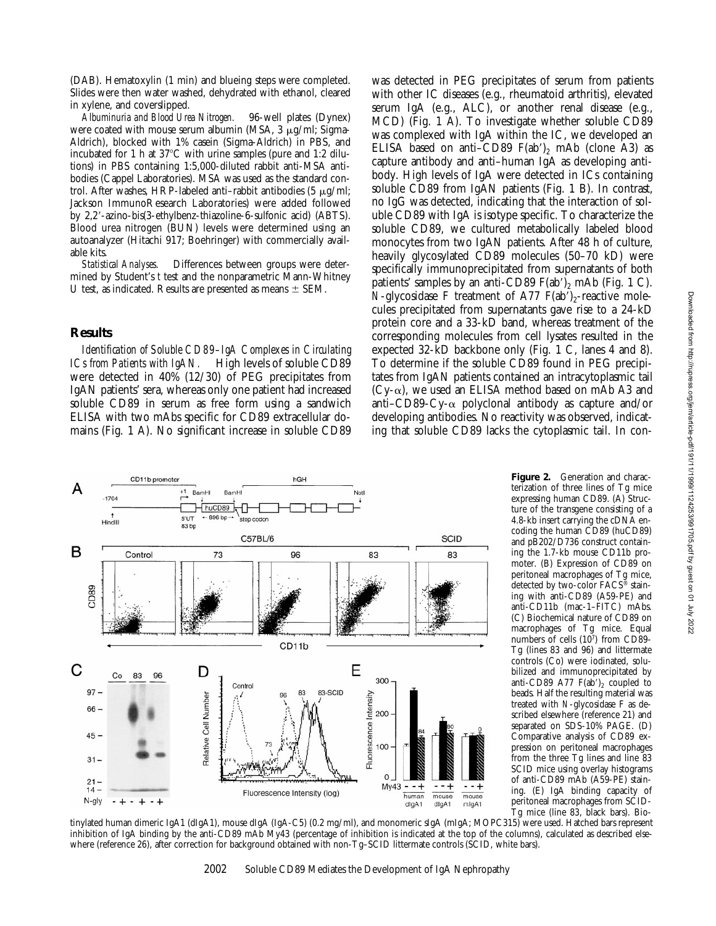(DAB). Hematoxylin (1 min) and blueing steps were completed. Slides were then water washed, dehydrated with ethanol, cleared in xylene, and coverslipped.

*Albuminuria and Blood Urea Nitrogen.* 96-well plates (Dynex) were coated with mouse serum albumin (MSA,  $3 \mu g/ml$ ; Sigma-Aldrich), blocked with 1% casein (Sigma-Aldrich) in PBS, and incubated for 1 h at  $37^{\circ}$ C with urine samples (pure and 1:2 dilutions) in PBS containing 1:5,000-diluted rabbit anti-MSA antibodies (Cappel Laboratories). MSA was used as the standard control. After washes, HRP-labeled anti-rabbit antibodies (5  $\mu$ g/ml; Jackson ImmunoResearch Laboratories) were added followed by 2,2'-azino-bis(3-ethylbenz-thiazoline-6-sulfonic acid) (ABTS). Blood urea nitrogen (BUN) levels were determined using an autoanalyzer (Hitachi 917; Boehringer) with commercially available kits.

*Statistical Analyses.* Differences between groups were determined by Student's *t* test and the nonparametric Mann-Whitney U test, as indicated. Results are presented as means  $\pm$  SEM.

### **Results**

*Identification of Soluble CD89–IgA Complexes in Circulating ICs from Patients with IgAN.* High levels of soluble CD89 were detected in 40% (12/30) of PEG precipitates from IgAN patients' sera, whereas only one patient had increased soluble CD89 in serum as free form using a sandwich ELISA with two mAbs specific for CD89 extracellular domains (Fig. 1 A). No significant increase in soluble CD89

was detected in PEG precipitates of serum from patients with other IC diseases (e.g., rheumatoid arthritis), elevated serum IgA (e.g., ALC), or another renal disease (e.g., MCD) (Fig. 1 A). To investigate whether soluble CD89 was complexed with IgA within the IC, we developed an ELISA based on anti–CD89  $F(ab')_2$  mAb (clone A3) as capture antibody and anti–human IgA as developing antibody. High levels of IgA were detected in ICs containing soluble CD89 from IgAN patients (Fig. 1 B). In contrast, no IgG was detected, indicating that the interaction of soluble CD89 with IgA is isotype specific. To characterize the soluble CD89, we cultured metabolically labeled blood monocytes from two IgAN patients. After 48 h of culture, heavily glycosylated CD89 molecules (50–70 kD) were specifically immunoprecipitated from supernatants of both patients' samples by an anti-CD89  $F(ab')_2$  mAb (Fig. 1 C). *N*-glycosidase F treatment of A77  $F(ab')_2$ -reactive molecules precipitated from supernatants gave rise to a 24-kD protein core and a 33-kD band, whereas treatment of the corresponding molecules from cell lysates resulted in the expected 32-kD backbone only (Fig. 1 C, lanes 4 and 8). To determine if the soluble CD89 found in PEG precipitates from IgAN patients contained an intracytoplasmic tail (Cy- $\alpha$ ), we used an ELISA method based on mAb A3 and anti–CD89-Cy- $\alpha$  polyclonal antibody as capture and/or developing antibodies. No reactivity was observed, indicating that soluble CD89 lacks the cytoplasmic tail. In con-



**Figure 2.** Generation and characterization of three lines of Tg mice expressing human CD89. (A) Structure of the transgene consisting of a 4.8-kb insert carrying the cDNA encoding the human CD89 (huCD89) and pB202/D736 construct containing the 1.7-kb mouse CD11b promoter. (B) Expression of CD89 on peritoneal macrophages of Tg mice, detected by two-color FACS® staining with anti-CD89 (A59-PE) and anti-CD11b (mac-1–FITC) mAbs. (C) Biochemical nature of CD89 on macrophages of Tg mice. Equal numbers of cells (107) from CD89-Tg (lines 83 and 96) and littermate controls (Co) were iodinated, solubilized and immunoprecipitated by anti-CD89 A77  $F(ab')_2$  coupled to beads. Half the resulting material was treated with *N*-glycosidase F as described elsewhere (reference 21) and separated on SDS-10% PAGE. (D) Comparative analysis of CD89 expression on peritoneal macrophages from the three Tg lines and line 83 SCID mice using overlay histograms of anti-CD89 mAb (A59-PE) staining. (E) IgA binding capacity of peritoneal macrophages from SCID-Tg mice (line 83, black bars). Bio-

tinylated human dimeric IgA1 (dIgA1), mouse dIgA (IgA-C5) (0.2 mg/ml), and monomeric sIgA (mIgA; MOPC315) were used. Hatched bars represent inhibition of IgA binding by the anti-CD89 mAb My43 (percentage of inhibition is indicated at the top of the columns), calculated as described elsewhere (reference 26), after correction for background obtained with non-Tg–SCID littermate controls (SCID, white bars).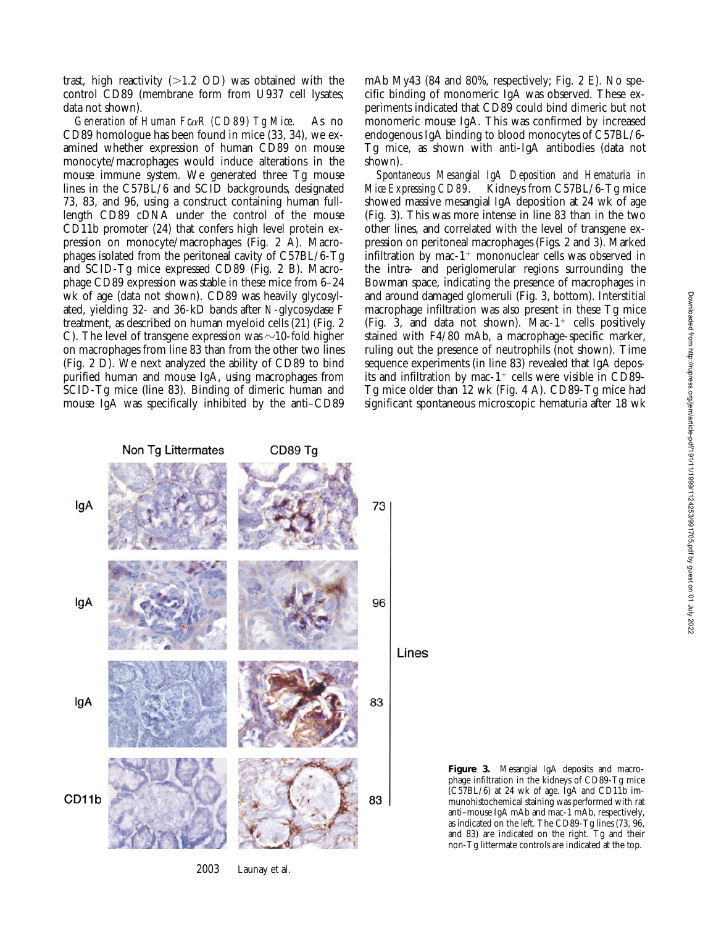trast, high reactivity  $(>1.2$  OD) was obtained with the control CD89 (membrane form from U937 cell lysates; data not shown).

*Generation of Human Fc*a*R (CD89) Tg Mice.* As no CD89 homologue has been found in mice (33, 34), we examined whether expression of human CD89 on mouse monocyte/macrophages would induce alterations in the mouse immune system. We generated three Tg mouse lines in the C57BL/6 and SCID backgrounds, designated 73, 83, and 96, using a construct containing human fulllength CD89 cDNA under the control of the mouse CD11b promoter (24) that confers high level protein expression on monocyte/macrophages (Fig. 2 A). Macrophages isolated from the peritoneal cavity of C57BL/6-Tg and SCID-Tg mice expressed CD89 (Fig. 2 B). Macrophage CD89 expression was stable in these mice from 6–24 wk of age (data not shown). CD89 was heavily glycosylated, yielding 32- and 36-kD bands after *N*-glycosydase F treatment, as described on human myeloid cells (21) (Fig. 2 C). The level of transgene expression was  $\sim$ 10-fold higher on macrophages from line 83 than from the other two lines (Fig. 2 D). We next analyzed the ability of CD89 to bind purified human and mouse IgA, using macrophages from SCID-Tg mice (line 83). Binding of dimeric human and mouse IgA was specifically inhibited by the anti–CD89 mAb My43 (84 and 80%, respectively; Fig. 2 E). No specific binding of monomeric IgA was observed. These experiments indicated that CD89 could bind dimeric but not monomeric mouse IgA. This was confirmed by increased endogenous IgA binding to blood monocytes of C57BL/6- Tg mice, as shown with anti-IgA antibodies (data not shown).

*Spontaneous Mesangial IgA Deposition and Hematuria in Mice Expressing CD89.* Kidneys from C57BL/6-Tg mice showed massive mesangial IgA deposition at 24 wk of age (Fig. 3). This was more intense in line 83 than in the two other lines, and correlated with the level of transgene expression on peritoneal macrophages (Figs. 2 and 3). Marked infiltration by mac-1<sup>+</sup> mononuclear cells was observed in the intra- and periglomerular regions surrounding the Bowman space, indicating the presence of macrophages in and around damaged glomeruli (Fig. 3, bottom). Interstitial macrophage infiltration was also present in these Tg mice (Fig. 3, and data not shown). Mac- $1^+$  cells positively stained with F4/80 mAb, a macrophage-specific marker, ruling out the presence of neutrophils (not shown). Time sequence experiments (in line 83) revealed that IgA deposits and infiltration by mac- $1^+$  cells were visible in CD89-Tg mice older than 12 wk (Fig. 4 A). CD89-Tg mice had significant spontaneous microscopic hematuria after 18 wk



2003 Launay et al.

**Figure 3.** Mesangial IgA deposits and macrophage infiltration in the kidneys of CD89-Tg mice (C57BL/6) at 24 wk of age. IgA and CD11b immunohistochemical staining was performed with rat anti–mouse IgA mAb and mac-1 mAb, respectively, as indicated on the left. The CD89-Tg lines (73, 96, and 83) are indicated on the right. Tg and their non-Tg littermate controls are indicated at the top.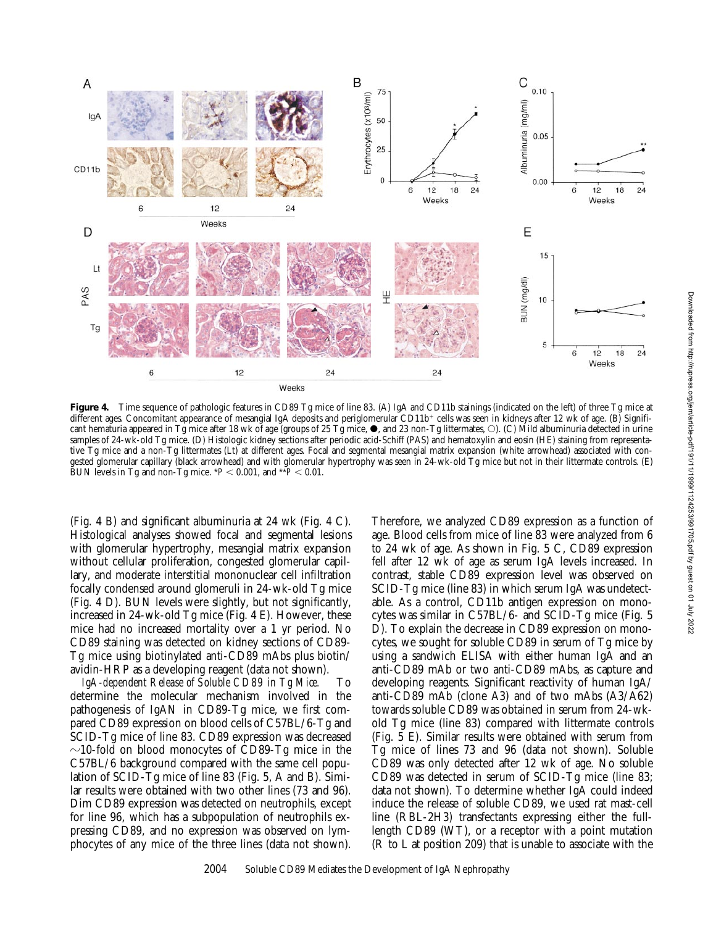

**Figure 4.** Time sequence of pathologic features in CD89 Tg mice of line 83. (A) IgA and CD11b stainings (indicated on the left) of three Tg mice at different ages. Concomitant appearance of mesangial IgA deposits and periglomerular CD11b+ cells was seen in kidneys after 12 wk of age. (B) Significant hematuria appeared in Tg mice after 18 wk of age (groups of 25 Tg mice,  $\bullet$ , and 23 non-Tg littermates,  $\circ$ ). (C) Mild albuminuria detected in urine samples of 24-wk-old Tg mice. (D) Histologic kidney sections after periodic acid-Schiff (PAS) and hematoxylin and eosin (HE) staining from representative Tg mice and a non-Tg littermates (Lt) at different ages. Focal and segmental mesangial matrix expansion (white arrowhead) associated with congested glomerular capillary (black arrowhead) and with glomerular hypertrophy was seen in 24-wk-old Tg mice but not in their littermate controls. (E) BUN levels in Tg and non-Tg mice.  $*P < 0.001$ , and  $*P < 0.01$ .

(Fig. 4 B) and significant albuminuria at 24 wk (Fig. 4 C). Histological analyses showed focal and segmental lesions with glomerular hypertrophy, mesangial matrix expansion without cellular proliferation, congested glomerular capillary, and moderate interstitial mononuclear cell infiltration focally condensed around glomeruli in 24-wk-old Tg mice (Fig. 4 D). BUN levels were slightly, but not significantly, increased in 24-wk-old Tg mice (Fig. 4 E). However, these mice had no increased mortality over a 1 yr period. No CD89 staining was detected on kidney sections of CD89- Tg mice using biotinylated anti-CD89 mAbs plus biotin/ avidin-HRP as a developing reagent (data not shown).

*IgA-dependent Release of Soluble CD89 in Tg Mice.* To determine the molecular mechanism involved in the pathogenesis of IgAN in CD89-Tg mice, we first compared CD89 expression on blood cells of C57BL/6-Tg and SCID-Tg mice of line 83. CD89 expression was decreased  $\sim$ 10-fold on blood monocytes of CD89-Tg mice in the C57BL/6 background compared with the same cell population of SCID-Tg mice of line 83 (Fig. 5, A and B). Similar results were obtained with two other lines (73 and 96). Dim CD89 expression was detected on neutrophils, except for line 96, which has a subpopulation of neutrophils expressing CD89, and no expression was observed on lymphocytes of any mice of the three lines (data not shown).

Therefore, we analyzed CD89 expression as a function of age. Blood cells from mice of line 83 were analyzed from 6 to 24 wk of age. As shown in Fig. 5 C, CD89 expression fell after 12 wk of age as serum IgA levels increased. In contrast, stable CD89 expression level was observed on SCID-Tg mice (line 83) in which serum IgA was undetectable. As a control, CD11b antigen expression on monocytes was similar in C57BL/6- and SCID-Tg mice (Fig. 5 D). To explain the decrease in CD89 expression on monocytes, we sought for soluble CD89 in serum of Tg mice by using a sandwich ELISA with either human IgA and an anti-CD89 mAb or two anti-CD89 mAbs, as capture and developing reagents. Significant reactivity of human IgA/ anti-CD89 mAb (clone A3) and of two mAbs (A3/A62) towards soluble CD89 was obtained in serum from 24-wkold Tg mice (line 83) compared with littermate controls (Fig. 5 E). Similar results were obtained with serum from Tg mice of lines 73 and 96 (data not shown). Soluble CD89 was only detected after 12 wk of age. No soluble CD89 was detected in serum of SCID-Tg mice (line 83; data not shown). To determine whether IgA could indeed induce the release of soluble CD89, we used rat mast-cell line (RBL-2H3) transfectants expressing either the fulllength CD89 (WT), or a receptor with a point mutation (R to L at position 209) that is unable to associate with the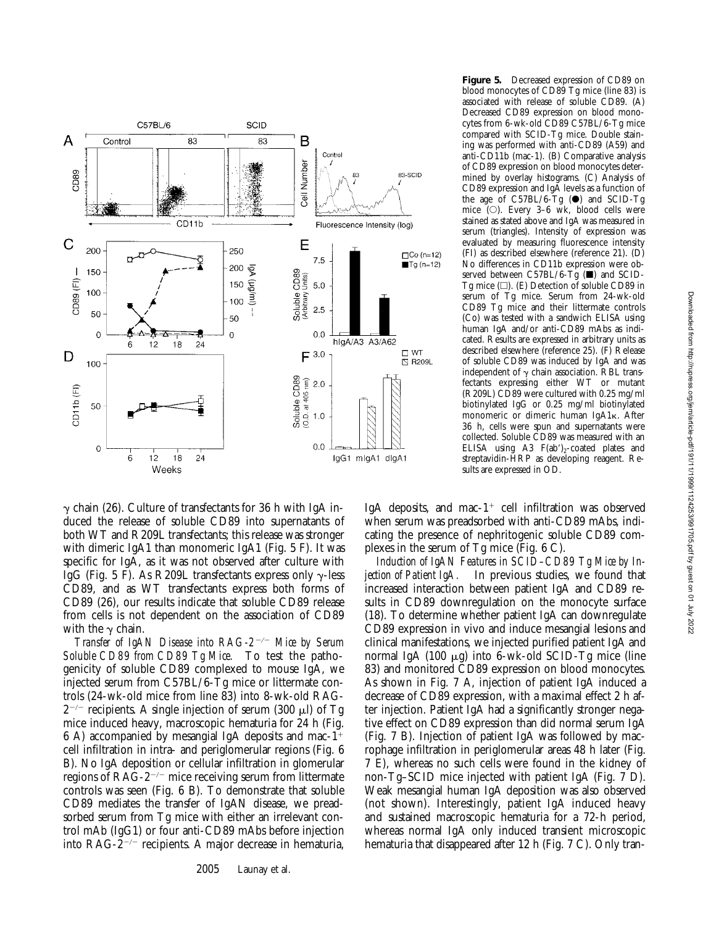

**Figure 5.** Decreased expression of CD89 on blood monocytes of CD89 Tg mice (line 83) is associated with release of soluble CD89. (A) Decreased CD89 expression on blood monocytes from 6-wk-old CD89 C57BL/6-Tg mice compared with SCID-Tg mice. Double staining was performed with anti-CD89 (A59) and anti-CD11b (mac-1). (B) Comparative analysis of CD89 expression on blood monocytes determined by overlay histograms. (C) Analysis of CD89 expression and IgA levels as a function of the age of C57BL/6-Tg  $(\bullet)$  and SCID-Tg mice  $(O)$ . Every 3–6 wk, blood cells were stained as stated above and IgA was measured in serum (triangles). Intensity of expression was evaluated by measuring fluorescence intensity (FI) as described elsewhere (reference 21). (D) No differences in CD11b expression were observed between C57BL/6-Tg  $(\blacksquare)$  and SCID-Tg mice  $(\square)$ . (E) Detection of soluble CD89 in serum of Tg mice. Serum from 24-wk-old CD89 Tg mice and their littermate controls (Co) was tested with a sandwich ELISA using human IgA and/or anti-CD89 mAbs as indicated. Results are expressed in arbitrary units as described elsewhere (reference 25). (F) Release of soluble CD89 was induced by IgA and was independent of  $\gamma$  chain association. RBL transfectants expressing either WT or mutant (R209L) CD89 were cultured with 0.25 mg/ml biotinylated IgG or 0.25 mg/ml biotinylated monomeric or dimeric human IgA1k. After 36 h, cells were spun and supernatants were collected. Soluble CD89 was measured with an ELISA using A3  $F(ab')_2$ -coated plates and streptavidin-HRP as developing reagent. Results are expressed in OD.

 $\gamma$  chain (26). Culture of transfectants for 36 h with IgA induced the release of soluble CD89 into supernatants of both WT and R209L transfectants; this release was stronger with dimeric IgA1 than monomeric IgA1 (Fig. 5 F). It was specific for IgA, as it was not observed after culture with IgG (Fig. 5 F). As R209L transfectants express only  $\gamma$ -less CD89, and as WT transfectants express both forms of CD89 (26), our results indicate that soluble CD89 release from cells is not dependent on the association of CD89 with the  $\gamma$  chain.

*Transfer of IgAN Disease into RAG-2<sup>-/-</sup> Mice by Serum Soluble CD89 from CD89 Tg Mice.* To test the pathogenicity of soluble CD89 complexed to mouse IgA, we injected serum from C57BL/6-Tg mice or littermate controls (24-wk-old mice from line 83) into 8-wk-old RAG- $2^{-/-}$  recipients. A single injection of serum (300  $\mu$ l) of Tg mice induced heavy, macroscopic hematuria for 24 h (Fig. 6 A) accompanied by mesangial IgA deposits and mac-1<sup>+</sup> cell infiltration in intra- and periglomerular regions (Fig. 6 B). No IgA deposition or cellular infiltration in glomerular regions of  $RAG-2^{-/-}$  mice receiving serum from littermate controls was seen (Fig. 6 B). To demonstrate that soluble CD89 mediates the transfer of IgAN disease, we preadsorbed serum from Tg mice with either an irrelevant control mAb (IgG1) or four anti-CD89 mAbs before injection into RAG- $\bar{z}$ <sup>-/-</sup> recipients. A major decrease in hematuria,

IgA deposits, and mac- $1^+$  cell infiltration was observed when serum was preadsorbed with anti-CD89 mAbs, indicating the presence of nephritogenic soluble CD89 complexes in the serum of Tg mice (Fig. 6 C).

*Induction of IgAN Features in SCID–CD89 Tg Mice by Injection of Patient IgA.* In previous studies, we found that increased interaction between patient IgA and CD89 results in CD89 downregulation on the monocyte surface (18). To determine whether patient IgA can downregulate CD89 expression in vivo and induce mesangial lesions and clinical manifestations, we injected purified patient IgA and normal IgA  $(100 \mu g)$  into 6-wk-old SCID-Tg mice (line 83) and monitored CD89 expression on blood monocytes. As shown in Fig. 7 A, injection of patient IgA induced a decrease of CD89 expression, with a maximal effect 2 h after injection. Patient IgA had a significantly stronger negative effect on CD89 expression than did normal serum IgA (Fig. 7 B). Injection of patient IgA was followed by macrophage infiltration in periglomerular areas 48 h later (Fig. 7 E), whereas no such cells were found in the kidney of non-Tg–SCID mice injected with patient IgA (Fig. 7 D). Weak mesangial human IgA deposition was also observed (not shown). Interestingly, patient IgA induced heavy and sustained macroscopic hematuria for a 72-h period, whereas normal IgA only induced transient microscopic hematuria that disappeared after 12 h (Fig. 7 C). Only tran-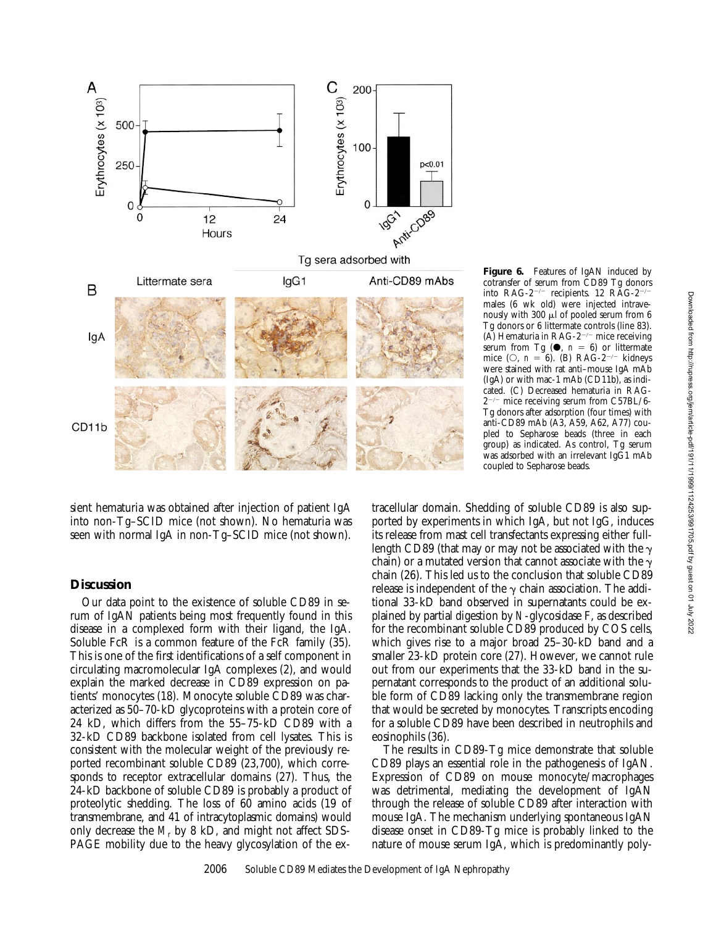

sient hematuria was obtained after injection of patient IgA into non-Tg–SCID mice (not shown). No hematuria was seen with normal IgA in non-Tg–SCID mice (not shown).

#### **Discussion**

Our data point to the existence of soluble CD89 in serum of IgAN patients being most frequently found in this disease in a complexed form with their ligand, the IgA. Soluble FcR is a common feature of the FcR family (35). This is one of the first identifications of a self component in circulating macromolecular IgA complexes (2), and would explain the marked decrease in CD89 expression on patients' monocytes (18). Monocyte soluble CD89 was characterized as 50–70-kD glycoproteins with a protein core of 24 kD, which differs from the 55–75-kD CD89 with a 32-kD CD89 backbone isolated from cell lysates. This is consistent with the molecular weight of the previously reported recombinant soluble CD89 (23,700), which corresponds to receptor extracellular domains (27). Thus, the 24-kD backbone of soluble CD89 is probably a product of proteolytic shedding. The loss of 60 amino acids (19 of transmembrane, and 41 of intracytoplasmic domains) would only decrease the  $M_r$  by 8 kD, and might not affect SDS-PAGE mobility due to the heavy glycosylation of the ex**Figure 6.** Features of IgAN induced by cotransfer of serum from CD89 Tg donors into RAG-2<sup>-/-</sup> recipients. 12 RAG-2<sup>-/</sup> males (6 wk old) were injected intravenously with  $300 \mu l$  of pooled serum from 6 Tg donors or 6 littermate controls (line 83). (A) Hematuria in RAG-2<sup>-/-</sup> mice receiving serum from Tg  $(①, n = 6)$  or littermate mice ( $\circ$ , *n* = 6). (B) RAG-2<sup>-/-</sup> kidneys were stained with rat anti–mouse IgA mAb (IgA) or with mac-1 mAb (CD11b), as indicated. (C) Decreased hematuria in RAG- $2^{-/-}$  mice receiving serum from C57BL/6-Tg donors after adsorption (four times) with anti-CD89 mAb (A3, A59, A62, A77) coupled to Sepharose beads (three in each group) as indicated. As control, Tg serum was adsorbed with an irrelevant IgG1 mAb coupled to Sepharose beads.

tracellular domain. Shedding of soluble CD89 is also supported by experiments in which IgA, but not IgG, induces its release from mast cell transfectants expressing either fulllength CD89 (that may or may not be associated with the  $\gamma$ chain) or a mutated version that cannot associate with the  $\gamma$ chain (26). This led us to the conclusion that soluble CD89 release is independent of the  $\gamma$  chain association. The additional 33-kD band observed in supernatants could be explained by partial digestion by *N*-glycosidase F, as described for the recombinant soluble CD89 produced by COS cells, which gives rise to a major broad 25–30-kD band and a smaller 23-kD protein core (27). However, we cannot rule out from our experiments that the 33-kD band in the supernatant corresponds to the product of an additional soluble form of CD89 lacking only the transmembrane region that would be secreted by monocytes. Transcripts encoding for a soluble CD89 have been described in neutrophils and eosinophils (36).

The results in CD89-Tg mice demonstrate that soluble CD89 plays an essential role in the pathogenesis of IgAN. Expression of CD89 on mouse monocyte/macrophages was detrimental, mediating the development of IgAN through the release of soluble CD89 after interaction with mouse IgA. The mechanism underlying spontaneous IgAN disease onset in CD89-Tg mice is probably linked to the nature of mouse serum IgA, which is predominantly poly-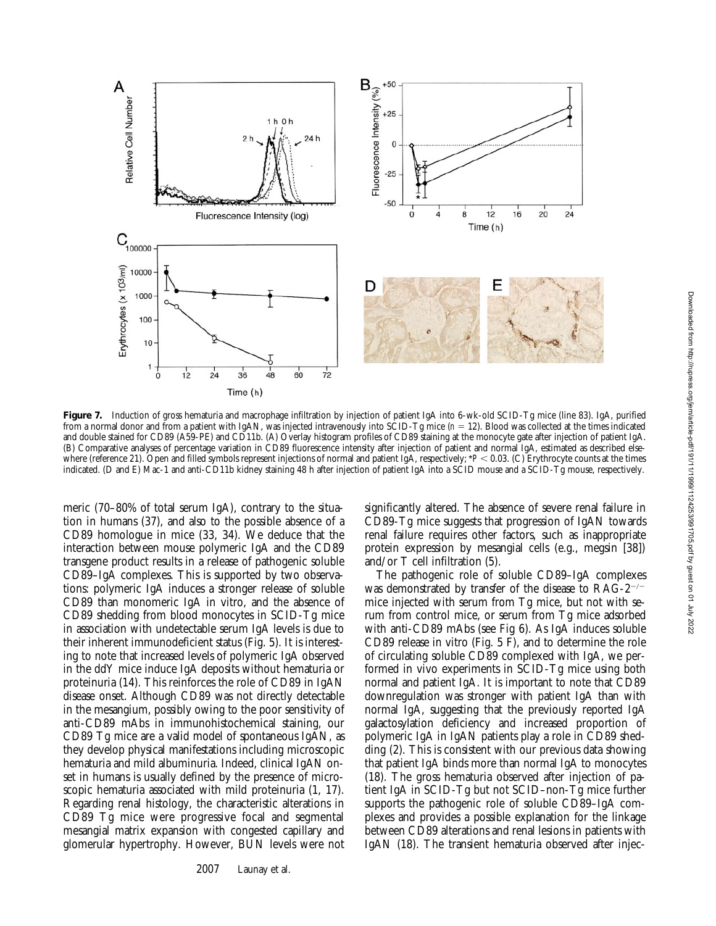

**Figure 7.** Induction of gross hematuria and macrophage infiltration by injection of patient IgA into 6-wk-old SCID-Tg mice (line 83). IgA, purified from a normal donor and from a patient with IgAN, was injected intravenously into SCID-Tg mice (*n* = 12). Blood was collected at the times indicated and double stained for CD89 (A59-PE) and CD11b. (A) Overlay histogram profiles of CD89 staining at the monocyte gate after injection of patient IgA. (B) Comparative analyses of percentage variation in CD89 fluorescence intensity after injection of patient and normal IgA, estimated as described elsewhere (reference 21). Open and filled symbols represent injections of normal and patient IgA, respectively;  $*P < 0.03$ . (C) Erythrocyte counts at the times indicated. (D and E) Mac-1 and anti-CD11b kidney staining 48 h after injection of patient IgA into a SCID mouse and a SCID-Tg mouse, respectively.

meric (70–80% of total serum IgA), contrary to the situation in humans (37), and also to the possible absence of a CD89 homologue in mice (33, 34). We deduce that the interaction between mouse polymeric IgA and the CD89 transgene product results in a release of pathogenic soluble CD89–IgA complexes. This is supported by two observations: polymeric IgA induces a stronger release of soluble CD89 than monomeric IgA in vitro, and the absence of CD89 shedding from blood monocytes in SCID-Tg mice in association with undetectable serum IgA levels is due to their inherent immunodeficient status (Fig. 5). It is interesting to note that increased levels of polymeric IgA observed in the ddY mice induce IgA deposits without hematuria or proteinuria (14). This reinforces the role of CD89 in IgAN disease onset. Although CD89 was not directly detectable in the mesangium, possibly owing to the poor sensitivity of anti-CD89 mAbs in immunohistochemical staining, our CD89 Tg mice are a valid model of spontaneous IgAN, as they develop physical manifestations including microscopic hematuria and mild albuminuria. Indeed, clinical IgAN onset in humans is usually defined by the presence of microscopic hematuria associated with mild proteinuria (1, 17). Regarding renal histology, the characteristic alterations in CD89 Tg mice were progressive focal and segmental mesangial matrix expansion with congested capillary and glomerular hypertrophy. However, BUN levels were not

2007 Launay et al.

significantly altered. The absence of severe renal failure in CD89-Tg mice suggests that progression of IgAN towards renal failure requires other factors, such as inappropriate protein expression by mesangial cells (e.g., megsin [38]) and/or T cell infiltration (5).

The pathogenic role of soluble CD89–IgA complexes was demonstrated by transfer of the disease to  $RAG-2^{-/-}$ mice injected with serum from Tg mice, but not with serum from control mice, or serum from Tg mice adsorbed with anti-CD89 mAbs (see Fig 6). As IgA induces soluble CD89 release in vitro (Fig. 5 F), and to determine the role of circulating soluble CD89 complexed with IgA, we performed in vivo experiments in SCID-Tg mice using both normal and patient IgA. It is important to note that CD89 downregulation was stronger with patient IgA than with normal IgA, suggesting that the previously reported IgA galactosylation deficiency and increased proportion of polymeric IgA in IgAN patients play a role in CD89 shedding (2). This is consistent with our previous data showing that patient IgA binds more than normal IgA to monocytes (18). The gross hematuria observed after injection of patient IgA in SCID-Tg but not SCID–non-Tg mice further supports the pathogenic role of soluble CD89–IgA complexes and provides a possible explanation for the linkage between CD89 alterations and renal lesions in patients with IgAN (18). The transient hematuria observed after injec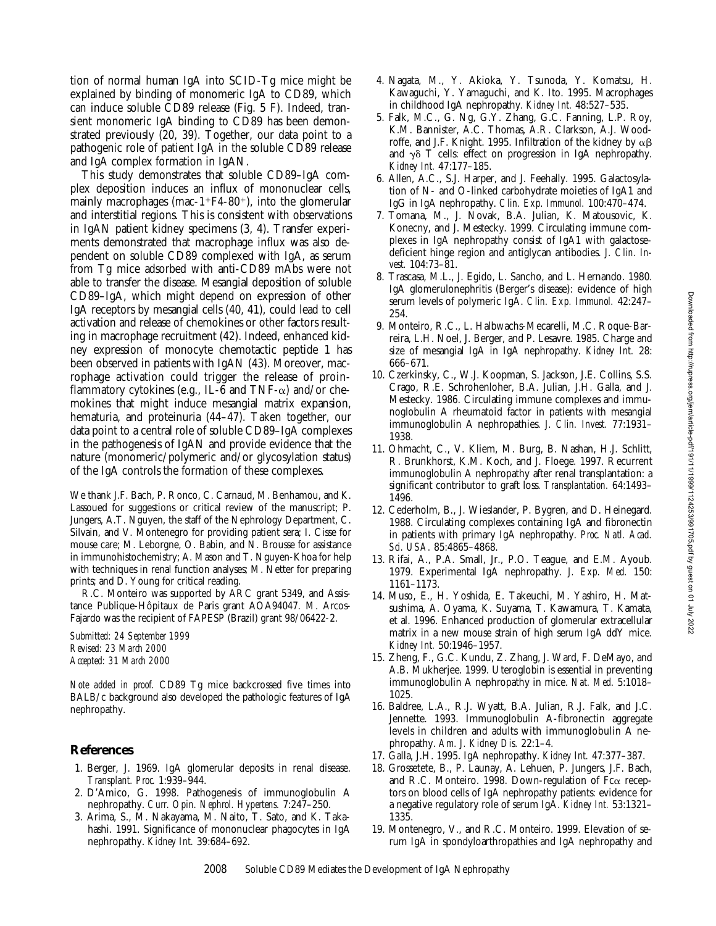tion of normal human IgA into SCID-Tg mice might be explained by binding of monomeric IgA to CD89, which can induce soluble CD89 release (Fig. 5 F). Indeed, transient monomeric IgA binding to CD89 has been demonstrated previously (20, 39). Together, our data point to a pathogenic role of patient IgA in the soluble CD89 release and IgA complex formation in IgAN.

This study demonstrates that soluble CD89–IgA complex deposition induces an influx of mononuclear cells, mainly macrophages (mac-1+F4-80+), into the glomerular and interstitial regions. This is consistent with observations in IgAN patient kidney specimens (3, 4). Transfer experiments demonstrated that macrophage influx was also dependent on soluble CD89 complexed with IgA, as serum from Tg mice adsorbed with anti-CD89 mAbs were not able to transfer the disease. Mesangial deposition of soluble CD89–IgA, which might depend on expression of other IgA receptors by mesangial cells (40, 41), could lead to cell activation and release of chemokines or other factors resulting in macrophage recruitment (42). Indeed, enhanced kidney expression of monocyte chemotactic peptide 1 has been observed in patients with IgAN (43). Moreover, macrophage activation could trigger the release of proinflammatory cytokines (e.g., IL-6 and TNF- $\alpha$ ) and/or chemokines that might induce mesangial matrix expansion, hematuria, and proteinuria (44–47). Taken together, our data point to a central role of soluble CD89–IgA complexes in the pathogenesis of IgAN and provide evidence that the nature (monomeric/polymeric and/or glycosylation status) of the IgA controls the formation of these complexes.

We thank J.F. Bach, P. Ronco, C. Carnaud, M. Benhamou, and K. Lassoued for suggestions or critical review of the manuscript; P. Jungers, A.T. Nguyen, the staff of the Nephrology Department, C. Silvain, and V. Montenegro for providing patient sera; I. Cisse for mouse care; M. Leborgne, O. Babin, and N. Brousse for assistance in immunohistochemistry; A. Mason and T. Nguyen-Khoa for help with techniques in renal function analyses; M. Netter for preparing prints; and D. Young for critical reading.

R.C. Monteiro was supported by ARC grant 5349, and Assistance Publique-Hôpitaux de Paris grant AOA94047. M. Arcos-Fajardo was the recipient of FAPESP (Brazil) grant 98/06422-2.

*Submitted: 24 September 1999 Revised: 23 March 2000 Accepted: 31 March 2000*

*Note added in proof.* CD89 Tg mice backcrossed five times into BALB/c background also developed the pathologic features of IgA nephropathy.

#### **References**

- 1. Berger, J. 1969. IgA glomerular deposits in renal disease. *Transplant. Proc.* 1:939–944.
- 2. D'Amico, G. 1998. Pathogenesis of immunoglobulin A nephropathy. *Curr. Opin. Nephrol. Hypertens.* 7:247–250.
- 3. Arima, S., M. Nakayama, M. Naito, T. Sato, and K. Takahashi. 1991. Significance of mononuclear phagocytes in IgA nephropathy. *Kidney Int.* 39:684–692.
- 4. Nagata, M., Y. Akioka, Y. Tsunoda, Y. Komatsu, H. Kawaguchi, Y. Yamaguchi, and K. Ito. 1995. Macrophages in childhood IgA nephropathy. *Kidney Int.* 48:527–535.
- 5. Falk, M.C., G. Ng, G.Y. Zhang, G.C. Fanning, L.P. Roy, K.M. Bannister, A.C. Thomas, A.R. Clarkson, A.J. Woodroffe, and J.F. Knight. 1995. Infiltration of the kidney by  $\alpha\beta$ and  $\gamma\delta$  T cells: effect on progression in IgA nephropathy. *Kidney Int.* 47:177–185.
- 6. Allen, A.C., S.J. Harper, and J. Feehally. 1995. Galactosylation of N- and O-linked carbohydrate moieties of IgA1 and IgG in IgA nephropathy. *Clin. Exp. Immunol.* 100:470–474.
- 7. Tomana, M., J. Novak, B.A. Julian, K. Matousovic, K. Konecny, and J. Mestecky. 1999. Circulating immune complexes in IgA nephropathy consist of IgA1 with galactosedeficient hinge region and antiglycan antibodies. *J. Clin. Invest.* 104:73–81.
- 8. Trascasa, M.L., J. Egido, L. Sancho, and L. Hernando. 1980. IgA glomerulonephritis (Berger's disease): evidence of high serum levels of polymeric IgA. *Clin. Exp. Immunol.* 42:247– 254.
- 9. Monteiro, R.C., L. Halbwachs-Mecarelli, M.C. Roque-Barreira, L.H. Noel, J. Berger, and P. Lesavre. 1985. Charge and size of mesangial IgA in IgA nephropathy. *Kidney Int.* 28: 666–671.
- 10. Czerkinsky, C., W.J. Koopman, S. Jackson, J.E. Collins, S.S. Crago, R.E. Schrohenloher, B.A. Julian, J.H. Galla, and J. Mestecky. 1986. Circulating immune complexes and immunoglobulin A rheumatoid factor in patients with mesangial immunoglobulin A nephropathies. *J. Clin. Invest.* 77:1931– 1938.
- 11. Ohmacht, C., V. Kliem, M. Burg, B. Nashan, H.J. Schlitt, R. Brunkhorst, K.M. Koch, and J. Floege. 1997. Recurrent immunoglobulin A nephropathy after renal transplantation: a significant contributor to graft loss. *Transplantation.* 64:1493– 1496.
- 12. Cederholm, B., J. Wieslander, P. Bygren, and D. Heinegard. 1988. Circulating complexes containing IgA and fibronectin in patients with primary IgA nephropathy. *Proc. Natl. Acad. Sci. USA.* 85:4865–4868.
- 13. Rifai, A., P.A. Small, Jr., P.O. Teague, and E.M. Ayoub. 1979. Experimental IgA nephropathy. *J. Exp. Med.* 150: 1161–1173.
- 14. Muso, E., H. Yoshida, E. Takeuchi, M. Yashiro, H. Matsushima, A. Oyama, K. Suyama, T. Kawamura, T. Kamata, et al. 1996. Enhanced production of glomerular extracellular matrix in a new mouse strain of high serum IgA ddY mice. *Kidney Int.* 50:1946–1957.
- 15. Zheng, F., G.C. Kundu, Z. Zhang, J. Ward, F. DeMayo, and A.B. Mukherjee. 1999. Uteroglobin is essential in preventing immunoglobulin A nephropathy in mice. *Nat. Med.* 5:1018– 1025.
- 16. Baldree, L.A., R.J. Wyatt, B.A. Julian, R.J. Falk, and J.C. Jennette. 1993. Immunoglobulin A-fibronectin aggregate levels in children and adults with immunoglobulin A nephropathy. *Am. J. Kidney Dis.* 22:1–4.
- 17. Galla, J.H. 1995. IgA nephropathy. *Kidney Int.* 47:377–387.
- 18. Grossetete, B., P. Launay, A. Lehuen, P. Jungers, J.F. Bach, and R.C. Monteiro. 1998. Down-regulation of  $Fc\alpha$  receptors on blood cells of IgA nephropathy patients: evidence for a negative regulatory role of serum IgA. *Kidney Int.* 53:1321– 1335.
- 19. Montenegro, V., and R.C. Monteiro. 1999. Elevation of serum IgA in spondyloarthropathies and IgA nephropathy and